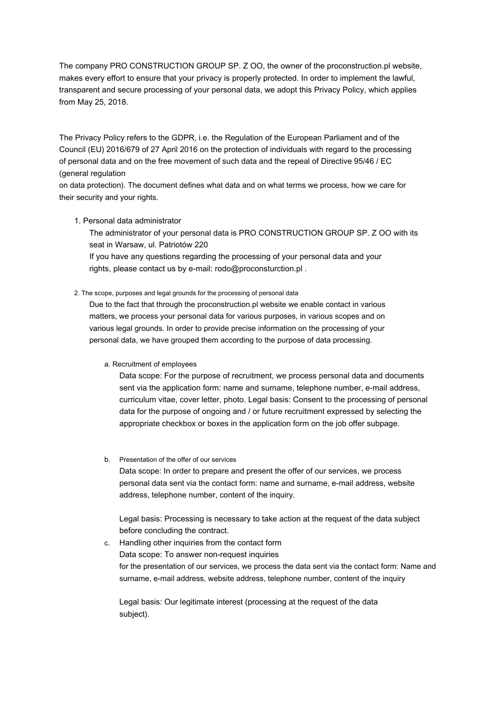The company PRO CONSTRUCTION GROUP SP. Z OO, the owner of the proconstruction.pl website, makes every effort to ensure that your privacy is properly protected. In order to implement the lawful, transparent and secure processing of your personal data, we adopt this Privacy Policy, which applies from May 25, 2018.

The Privacy Policy refers to the GDPR, i.e. the Regulation of the European Parliament and of the Council (EU) 2016/679 of 27 April 2016 on the protection of individuals with regard to the processing of personal data and on the free movement of such data and the repeal of Directive 95/46 / EC (general regulation

on data protection). The document defines what data and on what terms we process, how we care for their security and your rights.

## 1. Personal data administrator

The administrator of your personal data is PRO CONSTRUCTION GROUP SP. Z OO with its seat in Warsaw, ul. Patriotów 220

If you have any questions regarding the processing of your personal data and your rights, please contact us by e-mail: rodo@proconsturction.pl .

#### 2. The scope, purposes and legal grounds for the processing of personal data

Due to the fact that through the proconstruction.pl website we enable contact in various matters, we process your personal data for various purposes, in various scopes and on various legal grounds. In order to provide precise information on the processing of your personal data, we have grouped them according to the purpose of data processing.

## a. Recruitment of employees

Data scope: For the purpose of recruitment, we process personal data and documents sent via the application form: name and surname, telephone number, e-mail address, curriculum vitae, cover letter, photo. Legal basis: Consent to the processing of personal data for the purpose of ongoing and / or future recruitment expressed by selecting the appropriate checkbox or boxes in the application form on the job offer subpage.

b. Presentation of the offer of our services

Data scope: In order to prepare and present the offer of our services, we process personal data sent via the contact form: name and surname, e-mail address, website address, telephone number, content of the inquiry.

Legal basis: Processing is necessary to take action at the request of the data subject before concluding the contract.

c. Handling other inquiries from the contact form Data scope: To answer non-request inquiries for the presentation of our services, we process the data sent via the contact form: Name and surname, e-mail address, website address, telephone number, content of the inquiry

Legal basis: Our legitimate interest (processing at the request of the data subject).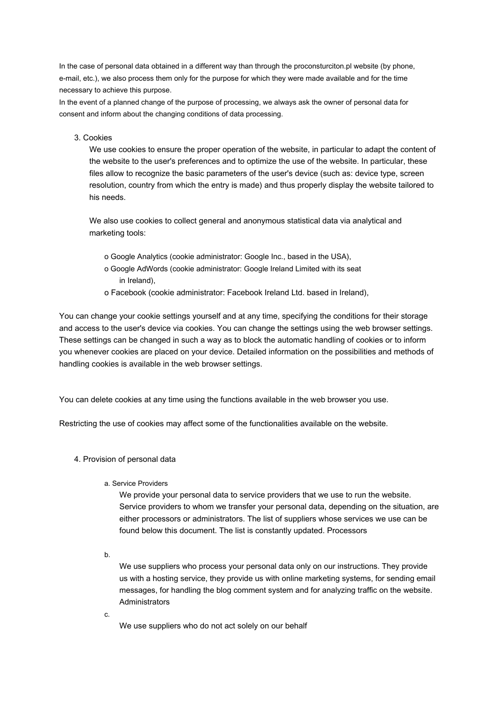In the case of personal data obtained in a different way than through the proconsturciton.pl website (by phone, e-mail, etc.), we also process them only for the purpose for which they were made available and for the time necessary to achieve this purpose.

In the event of a planned change of the purpose of processing, we always ask the owner of personal data for consent and inform about the changing conditions of data processing.

#### 3. Cookies

We use cookies to ensure the proper operation of the website, in particular to adapt the content of the website to the user's preferences and to optimize the use of the website. In particular, these files allow to recognize the basic parameters of the user's device (such as: device type, screen resolution, country from which the entry is made) and thus properly display the website tailored to his needs.

We also use cookies to collect general and anonymous statistical data via analytical and marketing tools:

- o Google Analytics (cookie administrator: Google Inc., based in the USA),
- o Google AdWords (cookie administrator: Google Ireland Limited with its seat in Ireland),
- o Facebook (cookie administrator: Facebook Ireland Ltd. based in Ireland),

You can change your cookie settings yourself and at any time, specifying the conditions for their storage and access to the user's device via cookies. You can change the settings using the web browser settings. These settings can be changed in such a way as to block the automatic handling of cookies or to inform you whenever cookies are placed on your device. Detailed information on the possibilities and methods of handling cookies is available in the web browser settings.

You can delete cookies at any time using the functions available in the web browser you use.

Restricting the use of cookies may affect some of the functionalities available on the website.

- 4. Provision of personal data
	- a. Service Providers

We provide your personal data to service providers that we use to run the website. Service providers to whom we transfer your personal data, depending on the situation, are either processors or administrators. The list of suppliers whose services we use can be found below this document. The list is constantly updated. Processors

b.

We use suppliers who process your personal data only on our instructions. They provide us with a hosting service, they provide us with online marketing systems, for sending email messages, for handling the blog comment system and for analyzing traffic on the website. **Administrators** 

c.

We use suppliers who do not act solely on our behalf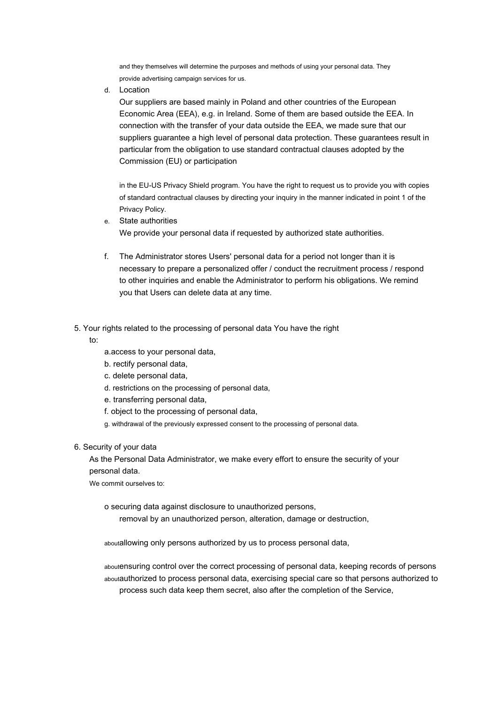and they themselves will determine the purposes and methods of using your personal data. They provide advertising campaign services for us.

d. Location

Our suppliers are based mainly in Poland and other countries of the European Economic Area (EEA), e.g. in Ireland. Some of them are based outside the EEA. In connection with the transfer of your data outside the EEA, we made sure that our suppliers guarantee a high level of personal data protection. These guarantees result in particular from the obligation to use standard contractual clauses adopted by the Commission (EU) or participation

in the EU-US Privacy Shield program. You have the right to request us to provide you with copies of standard contractual clauses by directing your inquiry in the manner indicated in point 1 of the Privacy Policy.

- State authorities e. We provide your personal data if requested by authorized state authorities.
- The Administrator stores Users' personal data for a period not longer than it is f. necessary to prepare a personalized offer / conduct the recruitment process / respond to other inquiries and enable the Administrator to perform his obligations. We remind you that Users can delete data at any time.
- 5. Your rights related to the processing of personal data You have the right
	- to:
- a.access to your personal data,
- b. rectify personal data,
- c. delete personal data,
- d. restrictions on the processing of personal data,
- e. transferring personal data,
- f. object to the processing of personal data,

g. withdrawal of the previously expressed consent to the processing of personal data.

6. Security of your data

As the Personal Data Administrator, we make every effort to ensure the security of your personal data.

We commit ourselves to:

o securing data against disclosure to unauthorized persons,

removal by an unauthorized person, alteration, damage or destruction,

aboutallowing only persons authorized by us to process personal data,

aboutensuring control over the correct processing of personal data, keeping records of persons aboutauthorized to process personal data, exercising special care so that persons authorized to process such data keep them secret, also after the completion of the Service,